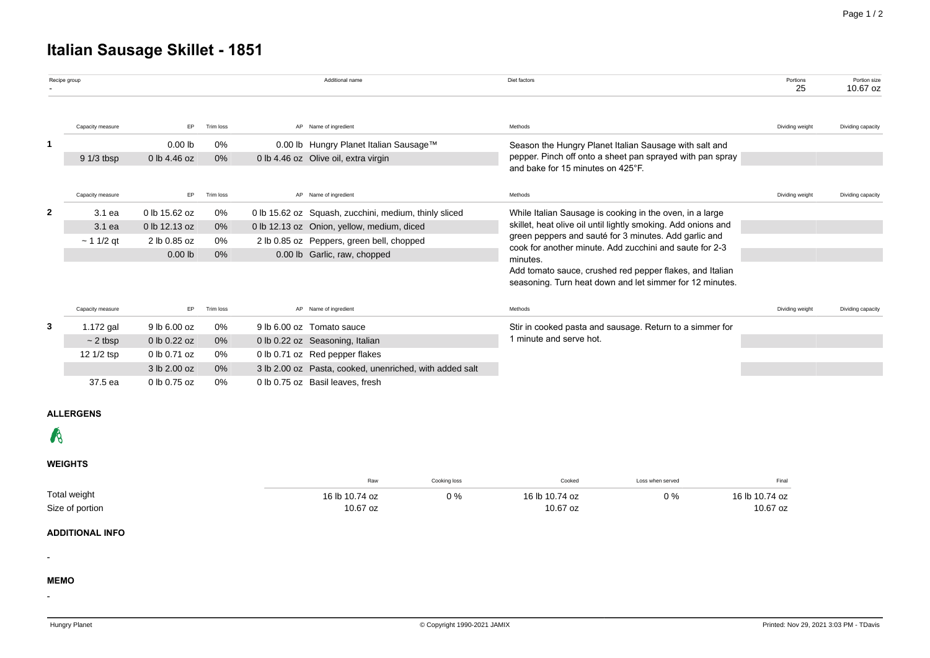# **Italian Sausage Skillet - 1851**

|              | Recipe group     |                                                                                                                     |           |  | Additional name                                         | Diet factors                                                                                                         | Portions<br>25  | Portion size<br>10.67 oz |
|--------------|------------------|---------------------------------------------------------------------------------------------------------------------|-----------|--|---------------------------------------------------------|----------------------------------------------------------------------------------------------------------------------|-----------------|--------------------------|
|              | Capacity measure | EP.                                                                                                                 | Trim loss |  | AP Name of ingredient                                   | Methods                                                                                                              | Dividing weight | Dividing capacity        |
|              |                  | 0%<br>0.00 lb Hungry Planet Italian Sausage™<br>$0.00$ lb<br>Season the Hungry Planet Italian Sausage with salt and |           |  |                                                         |                                                                                                                      |                 |                          |
|              | $91/3$ tbsp      | 0 lb 4.46 oz                                                                                                        | $0\%$     |  | 0 lb 4.46 oz Olive oil, extra virgin                    | pepper. Pinch off onto a sheet pan sprayed with pan spray<br>and bake for 15 minutes on 425°F.                       |                 |                          |
|              | Capacity measure | EP.                                                                                                                 | Trim loss |  | AP Name of ingredient                                   | Methods                                                                                                              | Dividing weight | Dividing capacity        |
| $\mathbf{2}$ | 3.1 ea           | 0 lb 15.62 oz                                                                                                       | 0%        |  | 0 lb 15.62 oz Squash, zucchini, medium, thinly sliced   | While Italian Sausage is cooking in the oven, in a large                                                             |                 |                          |
|              | 3.1 ea           | 0 lb 12.13 oz                                                                                                       | 0%        |  | 0 lb 12.13 oz Onion, yellow, medium, diced              | skillet, heat olive oil until lightly smoking. Add onions and                                                        |                 |                          |
|              | $~11/2$ qt       | 2 lb 0.85 oz                                                                                                        | 0%        |  | 2 lb 0.85 oz Peppers, green bell, chopped               | green peppers and sauté for 3 minutes. Add garlic and<br>cook for another minute. Add zucchini and saute for 2-3     |                 |                          |
|              |                  | $0.00$ lb                                                                                                           | 0%        |  | 0.00 lb Garlic, raw, chopped                            | minutes.                                                                                                             |                 |                          |
|              |                  |                                                                                                                     |           |  |                                                         | Add tomato sauce, crushed red pepper flakes, and Italian<br>seasoning. Turn heat down and let simmer for 12 minutes. |                 |                          |
|              | Capacity measure | EP                                                                                                                  | Trim loss |  | AP Name of ingredient                                   | Methods                                                                                                              | Dividing weight | Dividing capacity        |
| 3            | 1.172 gal        | 9 lb 6.00 oz                                                                                                        | 0%        |  | 9 lb 6.00 oz Tomato sauce                               | Stir in cooked pasta and sausage. Return to a simmer for                                                             |                 |                          |
|              | $\sim$ 2 tbsp    | 0 lb 0.22 oz                                                                                                        | $0\%$     |  | 0 lb 0.22 oz Seasoning, Italian                         | 1 minute and serve hot.                                                                                              |                 |                          |
|              | 12 1/2 tsp       | 0 lb 0.71 oz                                                                                                        | 0%        |  | 0 lb 0.71 oz Red pepper flakes                          |                                                                                                                      |                 |                          |
|              |                  | 3 lb 2.00 oz                                                                                                        | 0%        |  | 3 lb 2.00 oz Pasta, cooked, unenriched, with added salt |                                                                                                                      |                 |                          |
|              | 37.5 ea          | 0 lb 0.75 oz                                                                                                        | 0%        |  | 0 lb 0.75 oz Basil leaves, fresh                        |                                                                                                                      |                 |                          |

# **ALLERGENS**

# $\mathcal{R}$

# **WEIGHTS**

|                                 | Raw                        | Cooking loss | Cooked                     | Loss when served | Final                      |
|---------------------------------|----------------------------|--------------|----------------------------|------------------|----------------------------|
| Total weight<br>Size of portion | 16 lb 10.74 oz<br>10.67 oz | 0%           | 16 lb 10.74 oz<br>10.67 oz | $0\%$            | 16 lb 10.74 oz<br>10.67 oz |

#### **ADDITIONAL INFO**

## **MEMO**

-

-